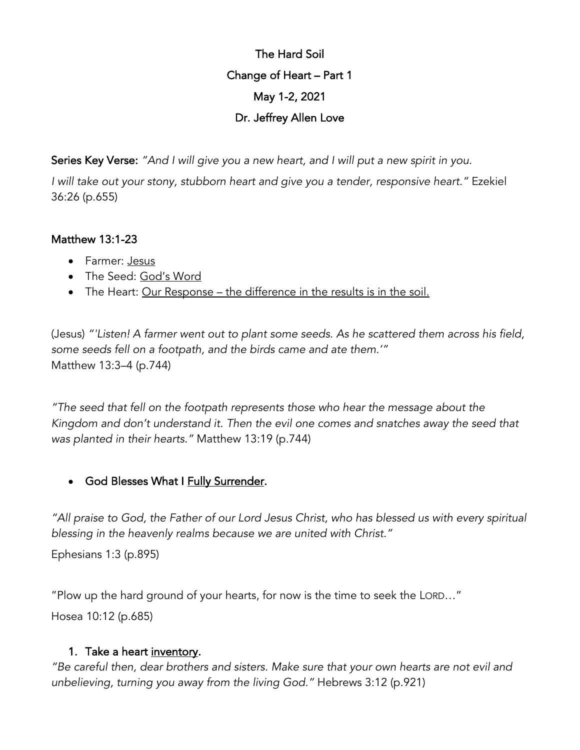# The Hard Soil Change of Heart – Part 1 May 1-2, 2021 Dr. Jeffrey Allen Love

Series Key Verse: *"And I will give you a new heart, and I will put a new spirit in you.*

*I will take out your stony, stubborn heart and give you a tender, responsive heart."* Ezekiel 36:26 (p.655)

### Matthew 13:1-23

- Farmer: Jesus
- The Seed: God's Word
- The Heart: Our Response the difference in the results is in the soil.

(Jesus) *"'Listen! A farmer went out to plant some seeds. As he scattered them across his field, some seeds fell on a footpath, and the birds came and ate them.'"* Matthew 13:3–4 (p.744)

*"The seed that fell on the footpath represents those who hear the message about the Kingdom and don't understand it. Then the evil one comes and snatches away the seed that was planted in their hearts."* Matthew 13:19 (p.744)

### • God Blesses What I Fully Surrender.

*"All praise to God, the Father of our Lord Jesus Christ, who has blessed us with every spiritual blessing in the heavenly realms because we are united with Christ."*

Ephesians 1:3 (p.895)

"Plow up the hard ground of your hearts, for now is the time to seek the LORD…"

Hosea 10:12 (p.685)

### 1. Take a heart inventory.

*"Be careful then, dear brothers and sisters. Make sure that your own hearts are not evil and unbelieving, turning you away from the living God."* Hebrews 3:12 (p.921)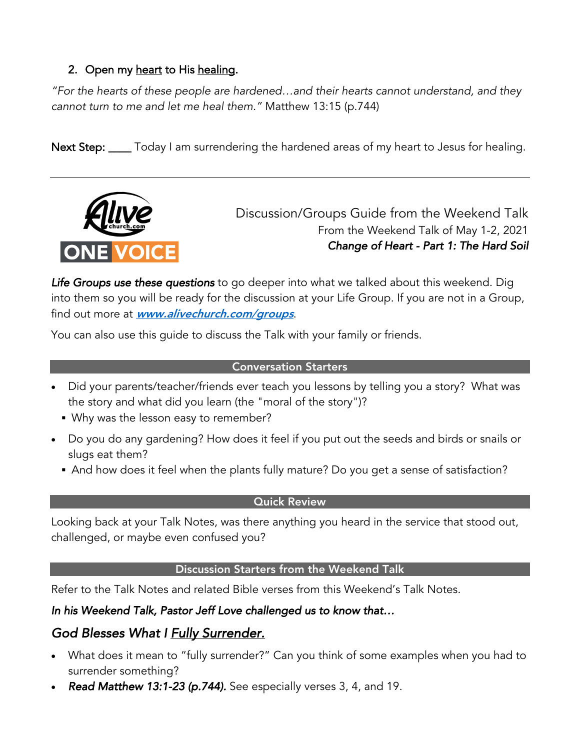### 2. Open my heart to His healing.

*"For the hearts of these people are hardened…and their hearts cannot understand, and they cannot turn to me and let me heal them."* Matthew 13:15 (p.744)

Next Step: \_\_\_\_ Today I am surrendering the hardened areas of my heart to Jesus for healing.



Discussion/Groups Guide from the Weekend Talk From the Weekend Talk of May 1-2, 2021 *Change of Heart - Part 1: The Hard Soil*

*Life Groups use these questions* to go deeper into what we talked about this weekend. Dig into them so you will be ready for the discussion at your Life Group. If you are not in a Group, find out more at **www.alivechurch.com/groups**.

You can also use this guide to discuss the Talk with your family or friends.

#### Conversation Starters

- Did your parents/teacher/friends ever teach you lessons by telling you a story? What was the story and what did you learn (the "moral of the story")?
	- § Why was the lesson easy to remember?
- Do you do any gardening? How does it feel if you put out the seeds and birds or snails or slugs eat them?
	- And how does it feel when the plants fully mature? Do you get a sense of satisfaction?

### Quick Review

Looking back at your Talk Notes, was there anything you heard in the service that stood out, challenged, or maybe even confused you?

### Discussion Starters from the Weekend Talk

Refer to the Talk Notes and related Bible verses from this Weekend's Talk Notes.

### *In his Weekend Talk, Pastor Jeff Love challenged us to know that…*

# *God Blesses What I Fully Surrender.*

- What does it mean to "fully surrender?" Can you think of some examples when you had to surrender something?
- *Read Matthew 13:1-23 (p.744).* See especially verses 3, 4, and 19.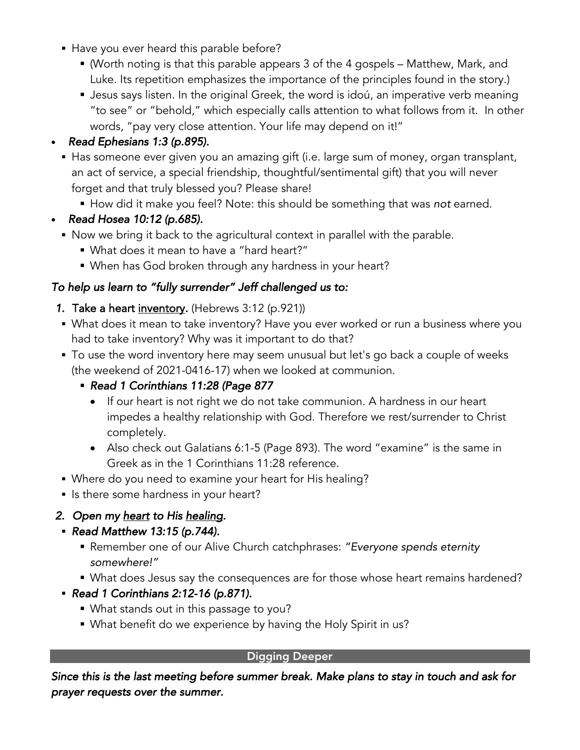- Have you ever heard this parable before?
	- (Worth noting is that this parable appears 3 of the 4 gospels Matthew, Mark, and Luke. Its repetition emphasizes the importance of the principles found in the story.)
	- Jesus says listen. In the original Greek, the word is idoú, an imperative verb meaning "to see" or "behold," which especially calls attention to what follows from it. In other words, "pay very close attention. Your life may depend on it!"

## • *Read Ephesians 1:3 (p.895).*

- Has someone ever given you an amazing gift (i.e. large sum of money, organ transplant, an act of service, a special friendship, thoughtful/sentimental gift) that you will never forget and that truly blessed you? Please share!
	- § How did it make you feel? Note: this should be something that was *not* earned.
- *Read Hosea 10:12 (p.685).* 
	- Now we bring it back to the agricultural context in parallel with the parable.
		- § What does it mean to have a "hard heart?"
		- When has God broken through any hardness in your heart?

### *To help us learn to "fully surrender" Jeff challenged us to:*

- *1.* Take a heart inventory*.* (Hebrews 3:12 (p.921))
- What does it mean to take inventory? Have you ever worked or run a business where you had to take inventory? Why was it important to do that?
- To use the word inventory here may seem unusual but let's go back a couple of weeks (the weekend of 2021-0416-17) when we looked at communion.
	- § *Read 1 Corinthians 11:28 (Page 877*
		- If our heart is not right we do not take communion. A hardness in our heart impedes a healthy relationship with God. Therefore we rest/surrender to Christ completely.
		- Also check out Galatians 6:1-5 (Page 893). The word "examine" is the same in Greek as in the 1 Corinthians 11:28 reference.
- § Where do you need to examine your heart for His healing?
- Is there some hardness in your heart?

# *2. Open my heart to His healing.*

- § *Read Matthew 13:15 (p.744).* 
	- § Remember one of our Alive Church catchphrases: *"Everyone spends eternity somewhere!"*
	- What does Jesus say the consequences are for those whose heart remains hardened?
- § *Read 1 Corinthians 2:12-16 (p.871).* 
	- § What stands out in this passage to you?
	- § What benefit do we experience by having the Holy Spirit in us?

### Digging Deeper

*Since this is the last meeting before summer break. Make plans to stay in touch and ask for prayer requests over the summer.*